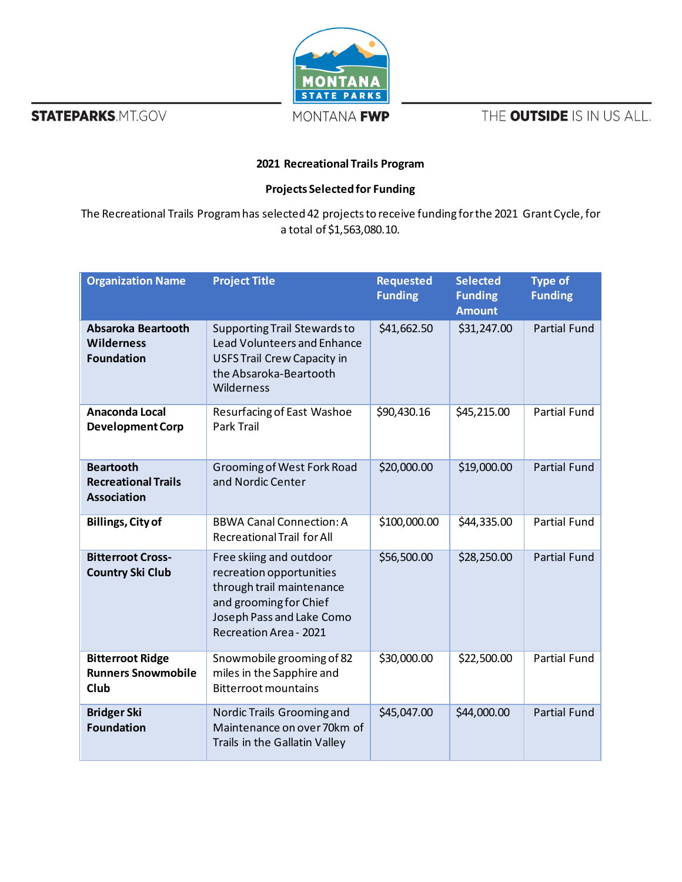**STATEPARKS**.MT.GOV



THE OUTSIDE IS IN US ALL.

## **2021 Recreational Trails Program**

## **Projects Selected for Funding**

The Recreational Trails Program has selected 42 projects to receive funding for the 2021 Grant Cycle, for a total of \$1,563,080.10.

| <b>Organization Name</b>                                             | <b>Project Title</b>                                                                                                                                              | <b>Requested</b><br><b>Funding</b> | <b>Selected</b><br><b>Funding</b><br><b>Amount</b> | <b>Type of</b><br><b>Funding</b> |
|----------------------------------------------------------------------|-------------------------------------------------------------------------------------------------------------------------------------------------------------------|------------------------------------|----------------------------------------------------|----------------------------------|
| Absaroka Beartooth<br><b>Wilderness</b><br><b>Foundation</b>         | <b>Supporting Trail Stewards to</b><br><b>Lead Volunteers and Enhance</b><br><b>USFS Trail Crew Capacity in</b><br>the Absaroka-Beartooth<br>Wilderness           | \$41,662.50                        | \$31,247.00                                        | <b>Partial Fund</b>              |
| Anaconda Local<br><b>Development Corp</b>                            | Resurfacing of East Washoe<br><b>Park Trail</b>                                                                                                                   | \$90,430.16                        | \$45,215.00                                        | <b>Partial Fund</b>              |
| <b>Beartooth</b><br><b>Recreational Trails</b><br><b>Association</b> | <b>Grooming of West Fork Road</b><br>and Nordic Center                                                                                                            | \$20,000.00                        | \$19,000.00                                        | <b>Partial Fund</b>              |
| <b>Billings, City of</b>                                             | <b>BBWA Canal Connection: A</b><br>Recreational Trail for All                                                                                                     | \$100,000.00                       | \$44,335.00                                        | <b>Partial Fund</b>              |
| <b>Bitterroot Cross-</b><br><b>Country Ski Club</b>                  | Free skiing and outdoor<br>recreation opportunities<br>through trail maintenance<br>and grooming for Chief<br>Joseph Pass and Lake Como<br>Recreation Area - 2021 | \$56,500.00                        | \$28,250.00                                        | <b>Partial Fund</b>              |
| <b>Bitterroot Ridge</b><br><b>Runners Snowmobile</b><br>Club         | Snowmobile grooming of 82<br>miles in the Sapphire and<br><b>Bitterroot mountains</b>                                                                             | \$30,000.00                        | \$22,500.00                                        | <b>Partial Fund</b>              |
| <b>Bridger Ski</b><br><b>Foundation</b>                              | Nordic Trails Grooming and<br>Maintenance on over 70km of<br>Trails in the Gallatin Valley                                                                        | \$45,047.00                        | \$44,000.00                                        | <b>Partial Fund</b>              |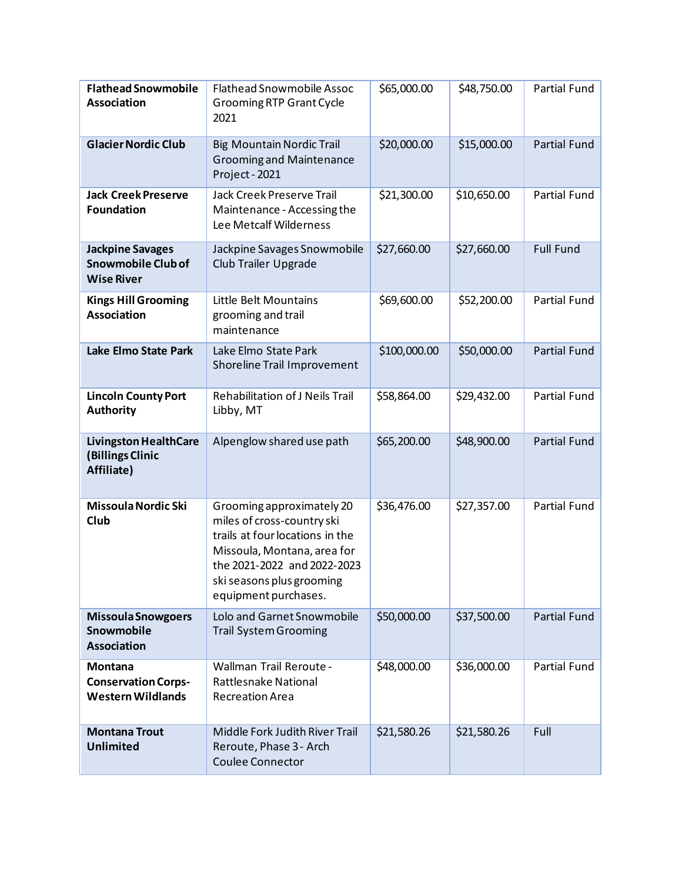| <b>Flathead Snowmobile</b><br>Association                                 | <b>Flathead Snowmobile Assoc</b><br><b>Grooming RTP Grant Cycle</b><br>2021                                                                                                                                   | \$65,000.00  | \$48,750.00 | Partial Fund        |
|---------------------------------------------------------------------------|---------------------------------------------------------------------------------------------------------------------------------------------------------------------------------------------------------------|--------------|-------------|---------------------|
| <b>Glacier Nordic Club</b>                                                | <b>Big Mountain Nordic Trail</b><br><b>Grooming and Maintenance</b><br>Project - 2021                                                                                                                         | \$20,000.00  | \$15,000.00 | <b>Partial Fund</b> |
| <b>Jack Creek Preserve</b><br><b>Foundation</b>                           | Jack Creek Preserve Trail<br>Maintenance - Accessing the<br>Lee Metcalf Wilderness                                                                                                                            | \$21,300.00  | \$10,650.00 | Partial Fund        |
| <b>Jackpine Savages</b><br><b>Snowmobile Club of</b><br><b>Wise River</b> | Jackpine Savages Snowmobile<br>Club Trailer Upgrade                                                                                                                                                           | \$27,660.00  | \$27,660.00 | <b>Full Fund</b>    |
| <b>Kings Hill Grooming</b><br><b>Association</b>                          | Little Belt Mountains<br>grooming and trail<br>maintenance                                                                                                                                                    | \$69,600.00  | \$52,200.00 | Partial Fund        |
| <b>Lake Elmo State Park</b>                                               | Lake Elmo State Park<br>Shoreline Trail Improvement                                                                                                                                                           | \$100,000.00 | \$50,000.00 | <b>Partial Fund</b> |
| <b>Lincoln County Port</b><br><b>Authority</b>                            | Rehabilitation of J Neils Trail<br>Libby, MT                                                                                                                                                                  | \$58,864.00  | \$29,432.00 | Partial Fund        |
| <b>Livingston HealthCare</b><br>(Billings Clinic<br>Affiliate)            | Alpenglow shared use path                                                                                                                                                                                     | \$65,200.00  | \$48,900.00 | <b>Partial Fund</b> |
| <b>Missoula Nordic Ski</b><br>Club                                        | Grooming approximately 20<br>miles of cross-country ski<br>trails at four locations in the<br>Missoula, Montana, area for<br>the 2021-2022 and 2022-2023<br>ski seasons plus grooming<br>equipment purchases. | \$36,476.00  | \$27,357.00 | <b>Partial Fund</b> |
| <b>Missoula Snowgoers</b><br>Snowmobile<br><b>Association</b>             | Lolo and Garnet Snowmobile<br><b>Trail System Grooming</b>                                                                                                                                                    | \$50,000.00  | \$37,500.00 | Partial Fund        |
| <b>Montana</b><br><b>Conservation Corps-</b><br><b>Western Wildlands</b>  | Wallman Trail Reroute -<br>Rattlesnake National<br><b>Recreation Area</b>                                                                                                                                     | \$48,000.00  | \$36,000.00 | Partial Fund        |
| <b>Montana Trout</b><br><b>Unlimited</b>                                  | Middle Fork Judith River Trail<br>Reroute, Phase 3 - Arch<br>Coulee Connector                                                                                                                                 | \$21,580.26  | \$21,580.26 | Full                |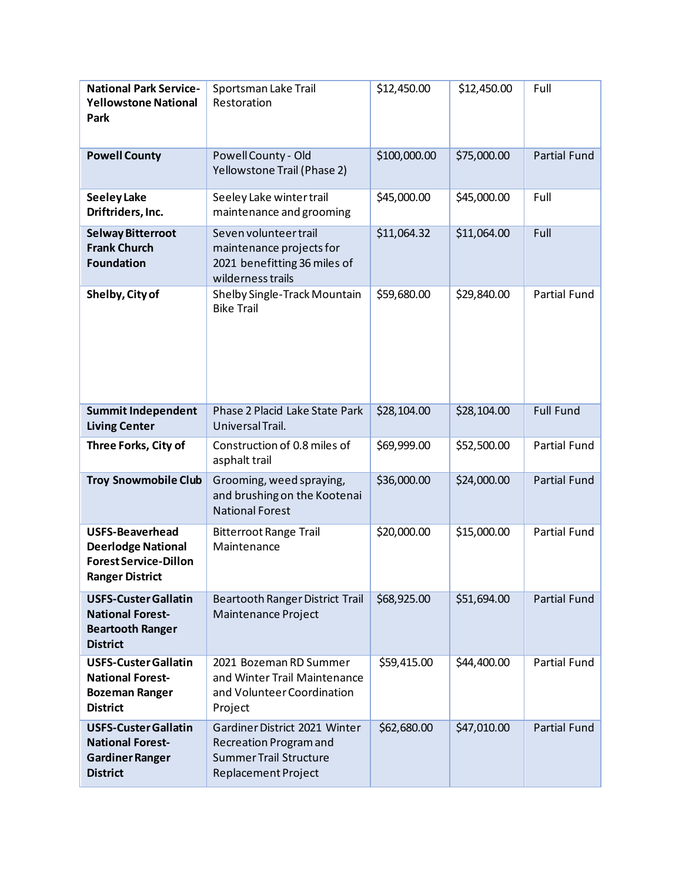| <b>National Park Service-</b><br><b>Yellowstone National</b><br>Park                                          | Sportsman Lake Trail<br>Restoration                                                                             | \$12,450.00  | \$12,450.00 | Full                |
|---------------------------------------------------------------------------------------------------------------|-----------------------------------------------------------------------------------------------------------------|--------------|-------------|---------------------|
| <b>Powell County</b>                                                                                          | Powell County - Old<br>Yellowstone Trail (Phase 2)                                                              | \$100,000.00 | \$75,000.00 | <b>Partial Fund</b> |
| <b>Seeley Lake</b><br>Driftriders, Inc.                                                                       | Seeley Lake winter trail<br>maintenance and grooming                                                            | \$45,000.00  | \$45,000.00 | Full                |
| <b>Selway Bitterroot</b><br><b>Frank Church</b><br><b>Foundation</b>                                          | Seven volunteer trail<br>maintenance projects for<br>2021 benefitting 36 miles of<br>wilderness trails          | \$11,064.32  | \$11,064.00 | Full                |
| Shelby, City of                                                                                               | Shelby Single-Track Mountain<br><b>Bike Trail</b>                                                               | \$59,680.00  | \$29,840.00 | <b>Partial Fund</b> |
| <b>Summit Independent</b><br><b>Living Center</b>                                                             | Phase 2 Placid Lake State Park<br>Universal Trail.                                                              | \$28,104.00  | \$28,104.00 | <b>Full Fund</b>    |
| Three Forks, City of                                                                                          | Construction of 0.8 miles of<br>asphalt trail                                                                   | \$69,999.00  | \$52,500.00 | Partial Fund        |
| <b>Troy Snowmobile Club</b>                                                                                   | Grooming, weed spraying,<br>and brushing on the Kootenai<br><b>National Forest</b>                              | \$36,000.00  | \$24,000.00 | <b>Partial Fund</b> |
| <b>USFS-Beaverhead</b><br><b>Deerlodge National</b><br><b>Forest Service-Dillon</b><br><b>Ranger District</b> | <b>Bitterroot Range Trail</b><br>Maintenance                                                                    | \$20,000.00  | \$15,000.00 | <b>Partial Fund</b> |
| <b>USFS-Custer Gallatin</b><br><b>National Forest-</b><br><b>Beartooth Ranger</b><br><b>District</b>          | <b>Beartooth Ranger District Trail</b><br><b>Maintenance Project</b>                                            | \$68,925.00  | \$51,694.00 | <b>Partial Fund</b> |
| <b>USFS-Custer Gallatin</b><br><b>National Forest-</b><br><b>Bozeman Ranger</b><br><b>District</b>            | 2021 Bozeman RD Summer<br>and Winter Trail Maintenance<br>and Volunteer Coordination<br>Project                 | \$59,415.00  | \$44,400.00 | <b>Partial Fund</b> |
| <b>USFS-Custer Gallatin</b><br><b>National Forest-</b><br><b>Gardiner Ranger</b><br><b>District</b>           | Gardiner District 2021 Winter<br>Recreation Program and<br><b>Summer Trail Structure</b><br>Replacement Project | \$62,680.00  | \$47,010.00 | <b>Partial Fund</b> |